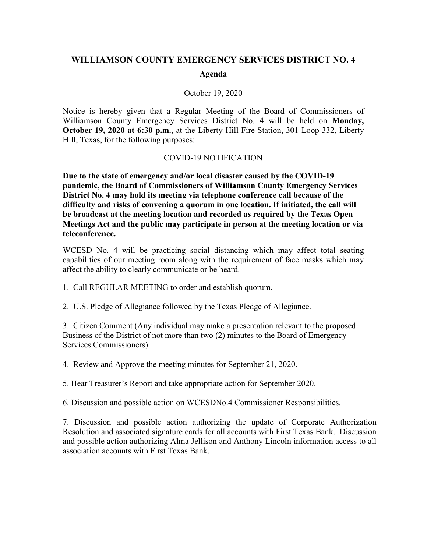# **WILLIAMSON COUNTY EMERGENCY SERVICES DISTRICT NO. 4**

#### **Agenda**

#### October 19, 2020

Notice is hereby given that a Regular Meeting of the Board of Commissioners of Williamson County Emergency Services District No. 4 will be held on **Monday, October 19, 2020 at 6:30 p.m.**, at the Liberty Hill Fire Station, 301 Loop 332, Liberty Hill, Texas, for the following purposes:

#### COVID-19 NOTIFICATION

**Due to the state of emergency and/or local disaster caused by the COVID-19 pandemic, the Board of Commissioners of Williamson County Emergency Services District No. 4 may hold its meeting via telephone conference call because of the difficulty and risks of convening a quorum in one location. If initiated, the call will be broadcast at the meeting location and recorded as required by the Texas Open Meetings Act and the public may participate in person at the meeting location or via teleconference.**

WCESD No. 4 will be practicing social distancing which may affect total seating capabilities of our meeting room along with the requirement of face masks which may affect the ability to clearly communicate or be heard.

1. Call REGULAR MEETING to order and establish quorum.

2. U.S. Pledge of Allegiance followed by the Texas Pledge of Allegiance.

3. Citizen Comment (Any individual may make a presentation relevant to the proposed Business of the District of not more than two (2) minutes to the Board of Emergency Services Commissioners).

4. Review and Approve the meeting minutes for September 21, 2020.

5. Hear Treasurer's Report and take appropriate action for September 2020.

6. Discussion and possible action on WCESDNo.4 Commissioner Responsibilities.

7. Discussion and possible action authorizing the update of Corporate Authorization Resolution and associated signature cards for all accounts with First Texas Bank. Discussion and possible action authorizing Alma Jellison and Anthony Lincoln information access to all association accounts with First Texas Bank.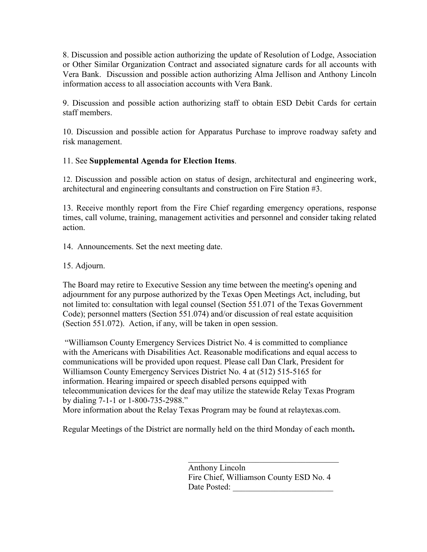8. Discussion and possible action authorizing the update of Resolution of Lodge, Association or Other Similar Organization Contract and associated signature cards for all accounts with Vera Bank. Discussion and possible action authorizing Alma Jellison and Anthony Lincoln information access to all association accounts with Vera Bank.

9. Discussion and possible action authorizing staff to obtain ESD Debit Cards for certain staff members.

10. Discussion and possible action for Apparatus Purchase to improve roadway safety and risk management.

# 11. See **Supplemental Agenda for Election Items**.

12. Discussion and possible action on status of design, architectural and engineering work, architectural and engineering consultants and construction on Fire Station #3.

13. Receive monthly report from the Fire Chief regarding emergency operations, response times, call volume, training, management activities and personnel and consider taking related action.

14. Announcements. Set the next meeting date.

15. Adjourn.

The Board may retire to Executive Session any time between the meeting's opening and adjournment for any purpose authorized by the Texas Open Meetings Act, including, but not limited to: consultation with legal counsel (Section 551.071 of the Texas Government Code); personnel matters (Section 551.074) and/or discussion of real estate acquisition (Section 551.072). Action, if any, will be taken in open session.

"Williamson County Emergency Services District No. 4 is committed to compliance with the Americans with Disabilities Act. Reasonable modifications and equal access to communications will be provided upon request. Please call Dan Clark, President for Williamson County Emergency Services District No. 4 at (512) 515-5165 for information. Hearing impaired or speech disabled persons equipped with telecommunication devices for the deaf may utilize the statewide Relay Texas Program by dialing 7-1-1 or 1-800-735-2988."

More information about the Relay Texas Program may be found at relaytexas.com.

Regular Meetings of the District are normally held on the third Monday of each month**.**

Anthony Lincoln Fire Chief, Williamson County ESD No. 4 Date Posted: